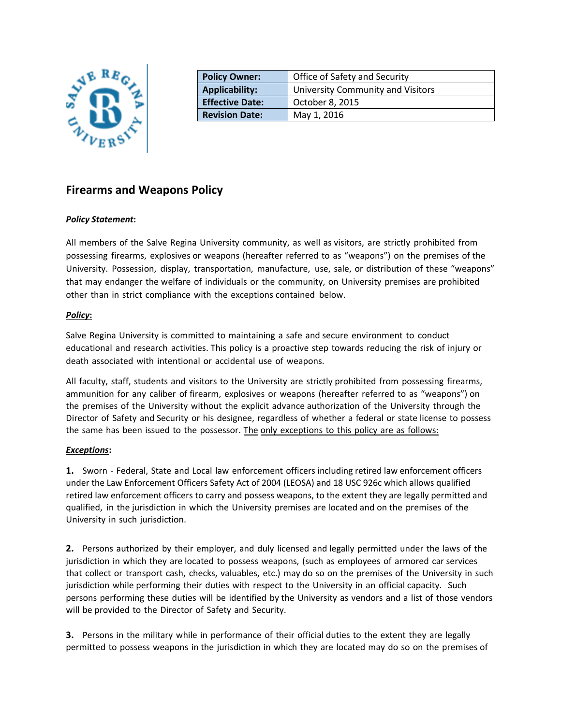

| <b>Policy Owner:</b>   | Office of Safety and Security     |
|------------------------|-----------------------------------|
| <b>Applicability:</b>  | University Community and Visitors |
| <b>Effective Date:</b> | October 8, 2015                   |
| <b>Revision Date:</b>  | May 1, 2016                       |
|                        |                                   |

# **Firearms and Weapons Policy**

### *Policy Statement***:**

All members of the Salve Regina University community, as well as visitors, are strictly prohibited from possessing firearms, explosives or weapons (hereafter referred to as "weapons") on the premises of the University. Possession, display, transportation, manufacture, use, sale, or distribution of these "weapons" that may endanger the welfare of individuals or the community, on University premises are prohibited other than in strict compliance with the exceptions contained below.

## *Policy***:**

Salve Regina University is committed to maintaining a safe and secure environment to conduct educational and research activities. This policy is a proactive step towards reducing the risk of injury or death associated with intentional or accidental use of weapons.

All faculty, staff, students and visitors to the University are strictly prohibited from possessing firearms, ammunition for any caliber of firearm, explosives or weapons (hereafter referred to as "weapons") on the premises of the University without the explicit advance authorization of the University through the Director of Safety and Security or his designee, regardless of whether a federal or state license to possess the same has been issued to the possessor. The only exceptions to this policy are as follows:

### *Exceptions***:**

**1.** Sworn - Federal, State and Local law enforcement officers including retired law enforcement officers under the Law Enforcement Officers Safety Act of 2004 (LEOSA) and 18 USC 926c which allows qualified retired law enforcement officers to carry and possess weapons, to the extent they are legally permitted and qualified, in the jurisdiction in which the University premises are located and on the premises of the University in such jurisdiction.

**2.** Persons authorized by their employer, and duly licensed and legally permitted under the laws of the jurisdiction in which they are located to possess weapons, (such as employees of armored car services that collect or transport cash, checks, valuables, etc.) may do so on the premises of the University in such jurisdiction while performing their duties with respect to the University in an official capacity. Such persons performing these duties will be identified by the University as vendors and a list of those vendors will be provided to the Director of Safety and Security.

**3.** Persons in the military while in performance of their official duties to the extent they are legally permitted to possess weapons in the jurisdiction in which they are located may do so on the premises of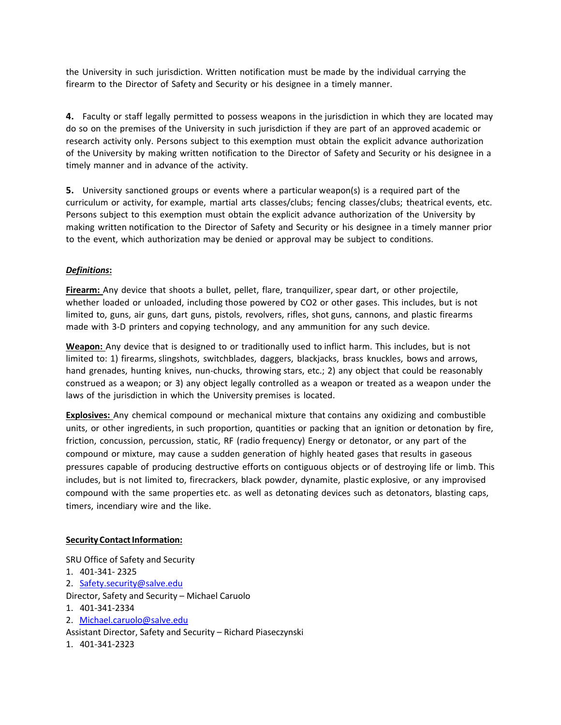the University in such jurisdiction. Written notification must be made by the individual carrying the firearm to the Director of Safety and Security or his designee in a timely manner.

**4.** Faculty or staff legally permitted to possess weapons in the jurisdiction in which they are located may do so on the premises of the University in such jurisdiction if they are part of an approved academic or research activity only. Persons subject to this exemption must obtain the explicit advance authorization of the University by making written notification to the Director of Safety and Security or his designee in a timely manner and in advance of the activity.

**5.** University sanctioned groups or events where a particular weapon(s) is a required part of the curriculum or activity, for example, martial arts classes/clubs; fencing classes/clubs; theatrical events, etc. Persons subject to this exemption must obtain the explicit advance authorization of the University by making written notification to the Director of Safety and Security or his designee in a timely manner prior to the event, which authorization may be denied or approval may be subject to conditions.

### *Definitions***:**

**Firearm:** Any device that shoots a bullet, pellet, flare, tranquilizer, spear dart, or other projectile, whether loaded or unloaded, including those powered by CO2 or other gases. This includes, but is not limited to, guns, air guns, dart guns, pistols, revolvers, rifles, shot guns, cannons, and plastic firearms made with 3-D printers and copying technology, and any ammunition for any such device.

**Weapon:** Any device that is designed to or traditionally used to inflict harm. This includes, but is not limited to: 1) firearms, slingshots, switchblades, daggers, blackjacks, brass knuckles, bows and arrows, hand grenades, hunting knives, nun-chucks, throwing stars, etc.; 2) any object that could be reasonably construed as a weapon; or 3) any object legally controlled as a weapon or treated as a weapon under the laws of the jurisdiction in which the University premises is located.

**Explosives:** Any chemical compound or mechanical mixture that contains any oxidizing and combustible units, or other ingredients, in such proportion, quantities or packing that an ignition or detonation by fire, friction, concussion, percussion, static, RF (radio frequency) Energy or detonator, or any part of the compound or mixture, may cause a sudden generation of highly heated gases that results in gaseous pressures capable of producing destructive efforts on contiguous objects or of destroying life or limb. This includes, but is not limited to, firecrackers, black powder, dynamite, plastic explosive, or any improvised compound with the same properties etc. as well as detonating devices such as detonators, blasting caps, timers, incendiary wire and the like.

#### **Security Contact Information:**

SRU Office of Safety and Security

1. 401-341- 2325 2. [Safety.security@salve.edu](mailto:Safety.security@salve.edu)

Director, Safety and Security – Michael Caruolo

- 1. 401-341-2334
- 2. [Michael.caruolo@salve.edu](mailto:Michael.caruolo@salve.edu)
- Assistant Director, Safety and Security Richard Piaseczynski
- 1. 401-341-2323